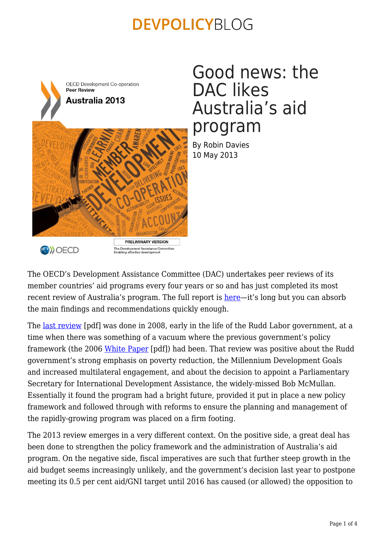

### Good news: the DAC likes Australia's aid program

By Robin Davies 10 May 2013



The OECD's Development Assistance Committee (DAC) undertakes peer reviews of its member countries' aid programs every four years or so and has just completed its most recent review of Australia's program. The full report is [here—](http://www.oecd.org/dac/peer-reviews/australia.htm)it's long but you can absorb the main findings and recommendations quickly enough.

The Development Assistance Committee<br>Enabling effective development

The <u>last review</u> [pdf] was done in 2008, early in the life of the Rudd Labor government, at a time when there was something of a vacuum where the previous government's policy framework (the 2006 [White Paper](http://www.ausaid.gov.au/Publications/Documents/whitepaper.pdf) [pdf]) had been. That review was positive about the Rudd government's strong emphasis on poverty reduction, the Millennium Development Goals and increased multilateral engagement, and about the decision to appoint a Parliamentary Secretary for International Development Assistance, the widely-missed Bob McMullan. Essentially it found the program had a bright future, provided it put in place a new policy framework and followed through with reforms to ensure the planning and management of the rapidly-growing program was placed on a firm footing.

The 2013 review emerges in a very different context. On the positive side, a great deal has been done to strengthen the policy framework and the administration of Australia's aid program. On the negative side, fiscal imperatives are such that further steep growth in the aid budget seems increasingly unlikely, and the government's decision last year to postpone meeting its 0.5 per cent aid/GNI target until 2016 has caused (or allowed) the opposition to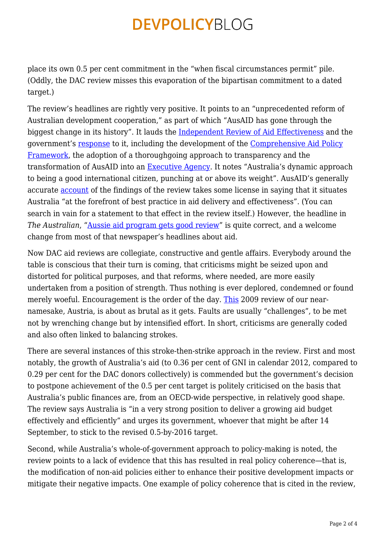place its own 0.5 per cent commitment in the "when fiscal circumstances permit" pile. (Oddly, the DAC review misses this evaporation of the bipartisan commitment to a dated target.)

The review's headlines are rightly very positive. It points to an "unprecedented reform of Australian development cooperation," as part of which "AusAID has gone through the biggest change in its history". It lauds the [Independent Review of Aid Effectiveness](http://www.aidreview.gov.au/report/) and the government's [response](http://www.ausaid.gov.au/makediff/pages/aid-policy.aspx) to it, including the development of the [Comprehensive Aid Policy](http://www.ausaid.gov.au/makediff/pages/capf.aspx) [Framework,](http://www.ausaid.gov.au/makediff/pages/capf.aspx) the adoption of a thoroughgoing approach to transparency and the transformation of AusAID into an [Executive Agency](http://www.apsc.gov.au/publications-and-media/current-publications/australian-public-service-agencies). It notes "Australia's dynamic approach to being a good international citizen, punching at or above its weight". AusAID's generally accurate [account](http://www.ausaid.gov.au/HotTopics/Pages/Display.aspx?QID=1119) of the findings of the review takes some license in saying that it situates Australia "at the forefront of best practice in aid delivery and effectiveness". (You can search in vain for a statement to that effect in the review itself.) However, the headline in *The Australian*, ["Aussie aid program gets good review](http://www.theaustralian.com.au/news/breaking-news/aussie-aid-program-gets-good-review/story-fn3dxiwe-1226636395085)" is quite correct, and a welcome change from most of that newspaper's headlines about aid.

Now DAC aid reviews are collegiate, constructive and gentle affairs. Everybody around the table is conscious that their turn is coming, that criticisms might be seized upon and distorted for political purposes, and that reforms, where needed, are more easily undertaken from a position of strength. Thus nothing is ever deplored, condemned or found merely woeful. Encouragement is the order of the day. [This](http://www.oecd.org/dac/peer-reviews/austria2009dacpeerreview-mainfindingsandrecommendations.htm) 2009 review of our nearnamesake, Austria, is about as brutal as it gets. Faults are usually "challenges", to be met not by wrenching change but by intensified effort. In short, criticisms are generally coded and also often linked to balancing strokes.

There are several instances of this stroke-then-strike approach in the review. First and most notably, the growth of Australia's aid (to 0.36 per cent of GNI in calendar 2012, compared to 0.29 per cent for the DAC donors collectively) is commended but the government's decision to postpone achievement of the 0.5 per cent target is politely criticised on the basis that Australia's public finances are, from an OECD-wide perspective, in relatively good shape. The review says Australia is "in a very strong position to deliver a growing aid budget effectively and efficiently" and urges its government, whoever that might be after 14 September, to stick to the revised 0.5-by-2016 target.

Second, while Australia's whole-of-government approach to policy-making is noted, the review points to a lack of evidence that this has resulted in real policy coherence—that is, the modification of non-aid policies either to enhance their positive development impacts or mitigate their negative impacts. One example of policy coherence that is cited in the review,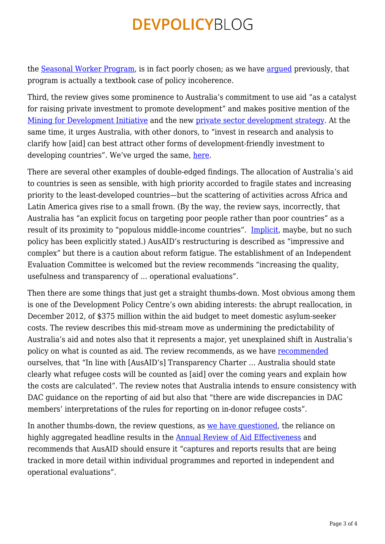the [Seasonal Worker Program](http://deewr.gov.au/seasonal-worker-program), is in fact poorly chosen; as we have [argued](https://devpolicy.org/australia%E2%80%99s-pacific-seasonal-worker-pilot-scheme-why-has-take-up-been-so-low/) previously, that program is actually a textbook case of policy incoherence.

Third, the review gives some prominence to Australia's commitment to use aid "as a catalyst for raising private investment to promote development" and makes positive mention of the [Mining for Development Initiative](http://www.ausaid.gov.au/aidissues/mining/) and the new [private sector development strategy.](http://www.ausaid.gov.au/publications/pages/private-sector-development-strategy.aspx) At the same time, it urges Australia, with other donors, to "invest in research and analysis to clarify how [aid] can best attract other forms of development-friendly investment to developing countries". We've urged the same, [here.](https://devpolicy.org/theres-smoke-but-is-there-fire-pondering-public-private-partnerships-for-development/)

There are several other examples of double-edged findings. The allocation of Australia's aid to countries is seen as sensible, with high priority accorded to fragile states and increasing priority to the least-developed countries—but the scattering of activities across Africa and Latin America gives rise to a small frown. (By the way, the review says, incorrectly, that Australia has "an explicit focus on targeting poor people rather than poor countries" as a result of its proximity to "populous middle-income countries". [Implicit](http://www.theaustralian.com.au/national-affairs/opinion/helping-asians-out-of-poverty/story-e6frgd0x-1226635605193), maybe, but no such policy has been explicitly stated.) AusAID's restructuring is described as "impressive and complex" but there is a caution about reform fatigue. The establishment of an Independent Evaluation Committee is welcomed but the review recommends "increasing the quality, usefulness and transparency of … operational evaluations".

Then there are some things that just get a straight thumbs-down. Most obvious among them is one of the Development Policy Centre's own abiding interests: the abrupt reallocation, in December 2012, of \$375 million within the aid budget to meet domestic asylum-seeker costs. The review describes this mid-stream move as undermining the predictability of Australia's aid and notes also that it represents a major, yet unexplained shift in Australia's policy on what is counted as aid. The review recommends, as we have [recommended](https://devpolicy.org/that-375-million-for-asylum-seekers-where-will-it-go-20130214/) ourselves, that "In line with [AusAID's] Transparency Charter … Australia should state clearly what refugee costs will be counted as [aid] over the coming years and explain how the costs are calculated". The review notes that Australia intends to ensure consistency with DAC guidance on the reporting of aid but also that "there are wide discrepancies in DAC members' interpretations of the rules for reporting on in-donor refugee costs".

In another thumbs-down, the review questions, as [we have questioned](https://devpolicy.org/ausaids-first-annual-review-of-aid-effectiveness-part-1-20130204/), the reliance on highly aggregated headline results in the [Annual Review of Aid Effectiveness](http://www.ausaid.gov.au/makediff/Pages/annual-review-aid-effectiveness.aspx) and recommends that AusAID should ensure it "captures and reports results that are being tracked in more detail within individual programmes and reported in independent and operational evaluations".